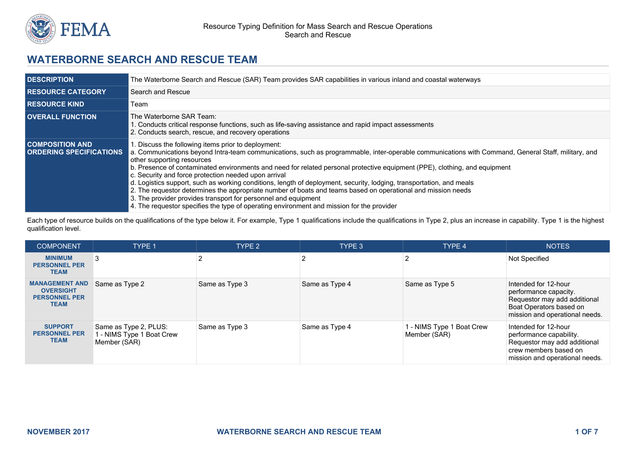

# **WATERBORNE SEARCH AND RESCUE TEAM**

| <b>DESCRIPTION</b>                                       | The Waterborne Search and Rescue (SAR) Team provides SAR capabilities in various inland and coastal waterways                                                                                                                                                                                                                                                                                                                                                                                                                                                                                                                                                                                                                                                                                                                     |
|----------------------------------------------------------|-----------------------------------------------------------------------------------------------------------------------------------------------------------------------------------------------------------------------------------------------------------------------------------------------------------------------------------------------------------------------------------------------------------------------------------------------------------------------------------------------------------------------------------------------------------------------------------------------------------------------------------------------------------------------------------------------------------------------------------------------------------------------------------------------------------------------------------|
| <b>RESOURCE CATEGORY</b>                                 | Search and Rescue                                                                                                                                                                                                                                                                                                                                                                                                                                                                                                                                                                                                                                                                                                                                                                                                                 |
| <b>RESOURCE KIND</b>                                     | Геаm                                                                                                                                                                                                                                                                                                                                                                                                                                                                                                                                                                                                                                                                                                                                                                                                                              |
| <b>OVERALL FUNCTION</b>                                  | The Waterborne SAR Team:<br>1. Conducts critical response functions, such as life-saving assistance and rapid impact assessments<br>2. Conducts search, rescue, and recovery operations                                                                                                                                                                                                                                                                                                                                                                                                                                                                                                                                                                                                                                           |
| <b>COMPOSITION AND</b><br><b>ORDERING SPECIFICATIONS</b> | Discuss the following items prior to deployment:<br>a. Communications beyond Intra-team communications, such as programmable, inter-operable communications with Command, General Staff, military, and<br>other supporting resources<br>b. Presence of contaminated environments and need for related personal protective equipment (PPE), clothing, and equipment<br>c. Security and force protection needed upon arrival<br>d. Logistics support, such as working conditions, length of deployment, security, lodging, transportation, and meals<br>2. The requestor determines the appropriate number of boats and teams based on operational and mission needs<br>3. The provider provides transport for personnel and equipment<br>4. The requestor specifies the type of operating environment and mission for the provider |

Each type of resource builds on the qualifications of the type below it. For example, Type 1 qualifications include the qualifications in Type 2, plus an increase in capability. Type 1 is the highest qualification level.

| <b>COMPONENT</b>                                                                 | <b>TYPE 1</b>                                                      | TYPE 2         | TYPE 3         | TYPE 4                                    | <b>NOTES</b>                                                                                                                               |
|----------------------------------------------------------------------------------|--------------------------------------------------------------------|----------------|----------------|-------------------------------------------|--------------------------------------------------------------------------------------------------------------------------------------------|
| <b>MINIMUM</b><br><b>PERSONNEL PER</b><br><b>TEAM</b>                            |                                                                    |                |                | 2                                         | Not Specified                                                                                                                              |
| <b>MANAGEMENT AND</b><br><b>OVERSIGHT</b><br><b>PERSONNEL PER</b><br><b>TEAM</b> | Same as Type 2                                                     | Same as Type 3 | Same as Type 4 | Same as Type 5                            | Intended for 12-hour<br>performance capacity.<br>Requestor may add additional<br>Boat Operators based on<br>mission and operational needs. |
| <b>SUPPORT</b><br><b>PERSONNEL PER</b><br><b>TEAM</b>                            | Same as Type 2, PLUS:<br>1 - NIMS Type 1 Boat Crew<br>Member (SAR) | Same as Type 3 | Same as Type 4 | 1 - NIMS Type 1 Boat Crew<br>Member (SAR) | Intended for 12-hour<br>performance capability.<br>Requestor may add additional<br>crew members based on<br>mission and operational needs. |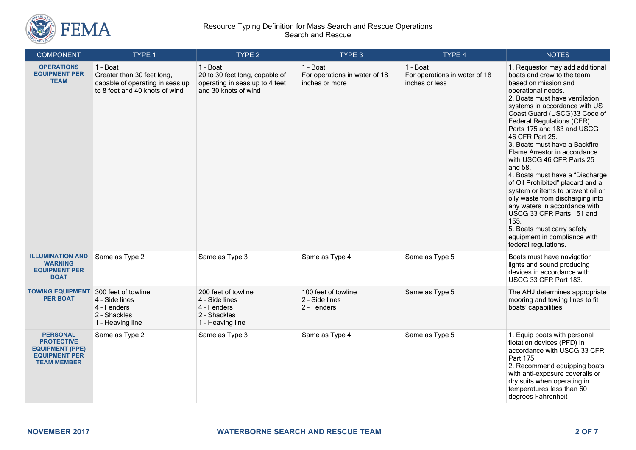

| <b>COMPONENT</b>                                                                                             | TYPE 1                                                                                                      | TYPE <sub>2</sub>                                                                                    | TYPE 3                                                      | TYPE 4                                                      | <b>NOTES</b>                                                                                                                                                                                                                                                                                                                                                                                                                                                                                                                                                                                                                                                                                                             |
|--------------------------------------------------------------------------------------------------------------|-------------------------------------------------------------------------------------------------------------|------------------------------------------------------------------------------------------------------|-------------------------------------------------------------|-------------------------------------------------------------|--------------------------------------------------------------------------------------------------------------------------------------------------------------------------------------------------------------------------------------------------------------------------------------------------------------------------------------------------------------------------------------------------------------------------------------------------------------------------------------------------------------------------------------------------------------------------------------------------------------------------------------------------------------------------------------------------------------------------|
| <b>OPERATIONS</b><br><b>EQUIPMENT PER</b><br><b>TEAM</b>                                                     | 1 - Boat<br>Greater than 30 feet long,<br>capable of operating in seas up<br>to 8 feet and 40 knots of wind | 1 - Boat<br>20 to 30 feet long, capable of<br>operating in seas up to 4 feet<br>and 30 knots of wind | 1 - Boat<br>For operations in water of 18<br>inches or more | 1 - Boat<br>For operations in water of 18<br>inches or less | 1. Requestor may add additional<br>boats and crew to the team<br>based on mission and<br>operational needs.<br>2. Boats must have ventilation<br>systems in accordance with US<br>Coast Guard (USCG)33 Code of<br><b>Federal Regulations (CFR)</b><br>Parts 175 and 183 and USCG<br>46 CFR Part 25.<br>3. Boats must have a Backfire<br>Flame Arrestor in accordance<br>with USCG 46 CFR Parts 25<br>and 58.<br>4. Boats must have a "Discharge<br>of Oil Prohibited" placard and a<br>system or items to prevent oil or<br>oily waste from discharging into<br>any waters in accordance with<br>USCG 33 CFR Parts 151 and<br>155.<br>5. Boats must carry safety<br>equipment in compliance with<br>federal regulations. |
| <b>ILLUMINATION AND</b><br><b>WARNING</b><br><b>EQUIPMENT PER</b><br><b>BOAT</b>                             | Same as Type 2                                                                                              | Same as Type 3                                                                                       | Same as Type 4                                              | Same as Type 5                                              | Boats must have navigation<br>lights and sound producing<br>devices in accordance with<br>USCG 33 CFR Part 183.                                                                                                                                                                                                                                                                                                                                                                                                                                                                                                                                                                                                          |
| <b>TOWING EQUIPMENT</b><br><b>PER BOAT</b>                                                                   | 300 feet of towline<br>4 - Side lines<br>4 - Fenders<br>2 - Shackles<br>1 - Heaving line                    | 200 feet of towline<br>4 - Side lines<br>4 - Fenders<br>2 - Shackles<br>1 - Heaving line             | 100 feet of towline<br>2 - Side lines<br>2 - Fenders        | Same as Type 5                                              | The AHJ determines appropriate<br>mooring and towing lines to fit<br>boats' capabilities                                                                                                                                                                                                                                                                                                                                                                                                                                                                                                                                                                                                                                 |
| <b>PERSONAL</b><br><b>PROTECTIVE</b><br><b>EQUIPMENT (PPE)</b><br><b>EQUIPMENT PER</b><br><b>TEAM MEMBER</b> | Same as Type 2                                                                                              | Same as Type 3                                                                                       | Same as Type 4                                              | Same as Type 5                                              | 1. Equip boats with personal<br>flotation devices (PFD) in<br>accordance with USCG 33 CFR<br>Part 175<br>2. Recommend equipping boats<br>with anti-exposure coveralls or<br>dry suits when operating in<br>temperatures less than 60<br>degrees Fahrenheit                                                                                                                                                                                                                                                                                                                                                                                                                                                               |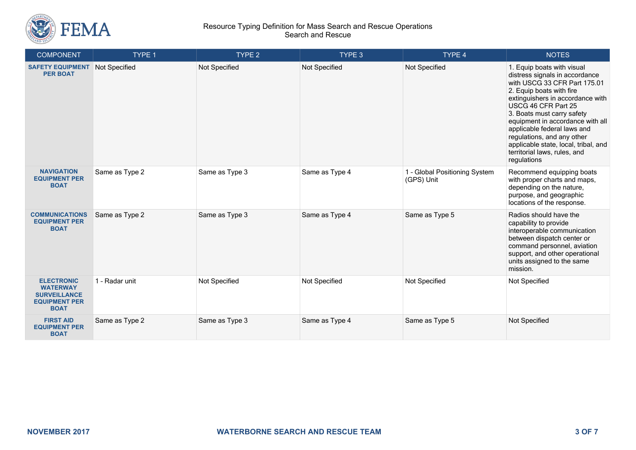

| <b>COMPONENT</b>                                                                                   | <b>TYPE 1</b>  | TYPE 2         | TYPE 3         | TYPE 4                                      | <b>NOTES</b>                                                                                                                                                                                                                                                                                                                                                                                              |
|----------------------------------------------------------------------------------------------------|----------------|----------------|----------------|---------------------------------------------|-----------------------------------------------------------------------------------------------------------------------------------------------------------------------------------------------------------------------------------------------------------------------------------------------------------------------------------------------------------------------------------------------------------|
| <b>SAFETY EQUIPMENT</b><br><b>PER BOAT</b>                                                         | Not Specified  | Not Specified  | Not Specified  | Not Specified                               | 1. Equip boats with visual<br>distress signals in accordance<br>with USCG 33 CFR Part 175.01<br>2. Equip boats with fire<br>extinguishers in accordance with<br>USCG 46 CFR Part 25<br>3. Boats must carry safety<br>equipment in accordance with all<br>applicable federal laws and<br>regulations, and any other<br>applicable state, local, tribal, and<br>territorial laws, rules, and<br>regulations |
| <b>NAVIGATION</b><br><b>EQUIPMENT PER</b><br><b>BOAT</b>                                           | Same as Type 2 | Same as Type 3 | Same as Type 4 | 1 - Global Positioning System<br>(GPS) Unit | Recommend equipping boats<br>with proper charts and maps,<br>depending on the nature,<br>purpose, and geographic<br>locations of the response.                                                                                                                                                                                                                                                            |
| <b>COMMUNICATIONS</b><br><b>EQUIPMENT PER</b><br><b>BOAT</b>                                       | Same as Type 2 | Same as Type 3 | Same as Type 4 | Same as Type 5                              | Radios should have the<br>capability to provide<br>interoperable communication<br>between dispatch center or<br>command personnel, aviation<br>support, and other operational<br>units assigned to the same<br>mission.                                                                                                                                                                                   |
| <b>ELECTRONIC</b><br><b>WATERWAY</b><br><b>SURVEILLANCE</b><br><b>EQUIPMENT PER</b><br><b>BOAT</b> | 1 - Radar unit | Not Specified  | Not Specified  | Not Specified                               | Not Specified                                                                                                                                                                                                                                                                                                                                                                                             |
| <b>FIRST AID</b><br><b>EQUIPMENT PER</b><br><b>BOAT</b>                                            | Same as Type 2 | Same as Type 3 | Same as Type 4 | Same as Type 5                              | Not Specified                                                                                                                                                                                                                                                                                                                                                                                             |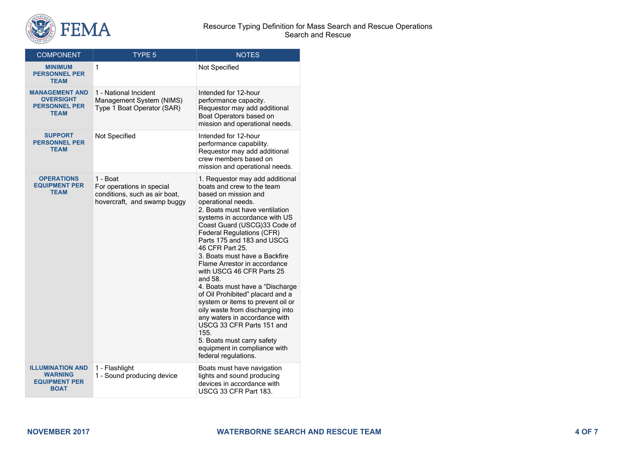

| <b>COMPONENT</b>                                                                 | <b>TYPE 5</b>                                                                                         | <b>NOTES</b>                                                                                                                                                                                                                                                                                                                                                                                                                                                                                                                                                                                                                                                                                                             |
|----------------------------------------------------------------------------------|-------------------------------------------------------------------------------------------------------|--------------------------------------------------------------------------------------------------------------------------------------------------------------------------------------------------------------------------------------------------------------------------------------------------------------------------------------------------------------------------------------------------------------------------------------------------------------------------------------------------------------------------------------------------------------------------------------------------------------------------------------------------------------------------------------------------------------------------|
| <b>MINIMUM</b><br><b>PERSONNEL PER</b><br><b>TEAM</b>                            | 1                                                                                                     | Not Specified                                                                                                                                                                                                                                                                                                                                                                                                                                                                                                                                                                                                                                                                                                            |
| <b>MANAGEMENT AND</b><br><b>OVERSIGHT</b><br><b>PERSONNEL PER</b><br><b>TEAM</b> | 1 - National Incident<br>Management System (NIMS)<br>Type 1 Boat Operator (SAR)                       | Intended for 12-hour<br>performance capacity.<br>Requestor may add additional<br>Boat Operators based on<br>mission and operational needs.                                                                                                                                                                                                                                                                                                                                                                                                                                                                                                                                                                               |
| <b>SUPPORT</b><br><b>PERSONNEL PER</b><br><b>TEAM</b>                            | Not Specified                                                                                         | Intended for 12-hour<br>performance capability.<br>Requestor may add additional<br>crew members based on<br>mission and operational needs.                                                                                                                                                                                                                                                                                                                                                                                                                                                                                                                                                                               |
| <b>OPERATIONS</b><br><b>EQUIPMENT PER</b><br><b>TEAM</b>                         | 1 - Boat<br>For operations in special<br>conditions, such as air boat,<br>hovercraft, and swamp buggy | 1. Requestor may add additional<br>boats and crew to the team<br>based on mission and<br>operational needs.<br>2. Boats must have ventilation<br>systems in accordance with US<br>Coast Guard (USCG)33 Code of<br><b>Federal Regulations (CFR)</b><br>Parts 175 and 183 and USCG<br>46 CFR Part 25.<br>3. Boats must have a Backfire<br>Flame Arrestor in accordance<br>with USCG 46 CFR Parts 25<br>and 58.<br>4. Boats must have a "Discharge<br>of Oil Prohibited" placard and a<br>system or items to prevent oil or<br>oily waste from discharging into<br>any waters in accordance with<br>USCG 33 CFR Parts 151 and<br>155.<br>5. Boats must carry safety<br>equipment in compliance with<br>federal regulations. |
| <b>ILLUMINATION AND</b><br><b>WARNING</b><br><b>EQUIPMENT PER</b><br><b>BOAT</b> | 1 - Flashlight<br>1 - Sound producing device                                                          | Boats must have navigation<br>lights and sound producing<br>devices in accordance with<br>USCG 33 CFR Part 183.                                                                                                                                                                                                                                                                                                                                                                                                                                                                                                                                                                                                          |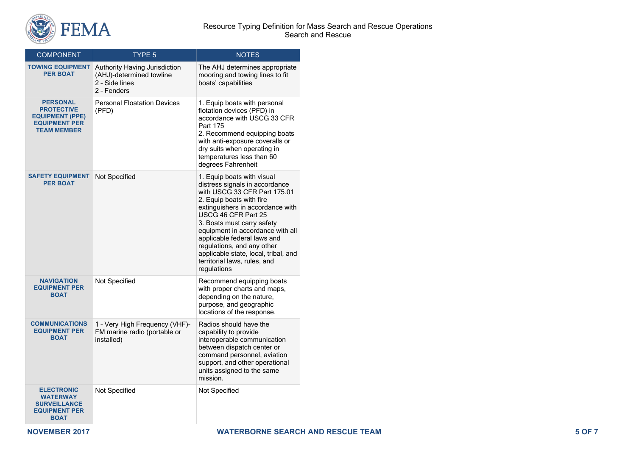

| <b>COMPONENT</b>                                                                                             | TYPE <sub>5</sub>                                                                                 | <b>NOTES</b>                                                                                                                                                                                                                                                                                                                                                                                              |  |
|--------------------------------------------------------------------------------------------------------------|---------------------------------------------------------------------------------------------------|-----------------------------------------------------------------------------------------------------------------------------------------------------------------------------------------------------------------------------------------------------------------------------------------------------------------------------------------------------------------------------------------------------------|--|
| <b>TOWING EQUIPMENT</b><br><b>PER BOAT</b>                                                                   | <b>Authority Having Jurisdiction</b><br>(AHJ)-determined towline<br>2 - Side lines<br>2 - Fenders | The AHJ determines appropriate<br>mooring and towing lines to fit<br>boats' capabilities                                                                                                                                                                                                                                                                                                                  |  |
| <b>PERSONAL</b><br><b>PROTECTIVE</b><br><b>EQUIPMENT (PPE)</b><br><b>EQUIPMENT PER</b><br><b>TEAM MEMBER</b> | <b>Personal Floatation Devices</b><br>(PFD)                                                       | 1. Equip boats with personal<br>flotation devices (PFD) in<br>accordance with USCG 33 CFR<br>Part 175<br>2. Recommend equipping boats<br>with anti-exposure coveralls or<br>dry suits when operating in<br>temperatures less than 60<br>degrees Fahrenheit                                                                                                                                                |  |
| <b>SAFETY EQUIPMENT</b><br><b>PER BOAT</b>                                                                   | <b>Not Specified</b>                                                                              | 1. Equip boats with visual<br>distress signals in accordance<br>with USCG 33 CFR Part 175.01<br>2. Equip boats with fire<br>extinguishers in accordance with<br>USCG 46 CFR Part 25<br>3. Boats must carry safety<br>equipment in accordance with all<br>applicable federal laws and<br>regulations, and any other<br>applicable state, local, tribal, and<br>territorial laws, rules, and<br>regulations |  |
| <b>NAVIGATION</b><br><b>EQUIPMENT PER</b><br><b>BOAT</b>                                                     | Not Specified                                                                                     | Recommend equipping boats<br>with proper charts and maps,<br>depending on the nature,<br>purpose, and geographic<br>locations of the response.                                                                                                                                                                                                                                                            |  |
| <b>COMMUNICATIONS</b><br><b>EQUIPMENT PER</b><br><b>BOAT</b>                                                 | 1 - Very High Frequency (VHF)-<br>FM marine radio (portable or<br>installed)                      | Radios should have the<br>capability to provide<br>interoperable communication<br>between dispatch center or<br>command personnel, aviation<br>support, and other operational<br>units assigned to the same<br>mission.                                                                                                                                                                                   |  |
| <b>ELECTRONIC</b><br><b>WATERWAY</b><br><b>SURVEILLANCE</b><br><b>EQUIPMENT PER</b><br><b>BOAT</b>           | Not Specified                                                                                     | Not Specified                                                                                                                                                                                                                                                                                                                                                                                             |  |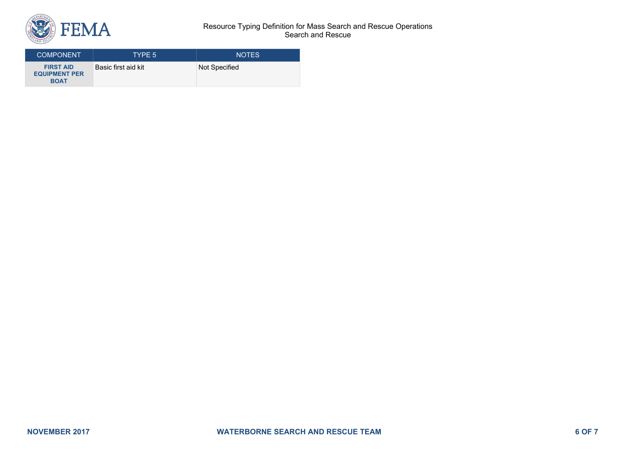

| <b>COMPONENT</b>                                        | TYPE 5              | <b>NOTES</b>  |
|---------------------------------------------------------|---------------------|---------------|
| <b>FIRST AID</b><br><b>EQUIPMENT PER</b><br><b>BOAT</b> | Basic first aid kit | Not Specified |